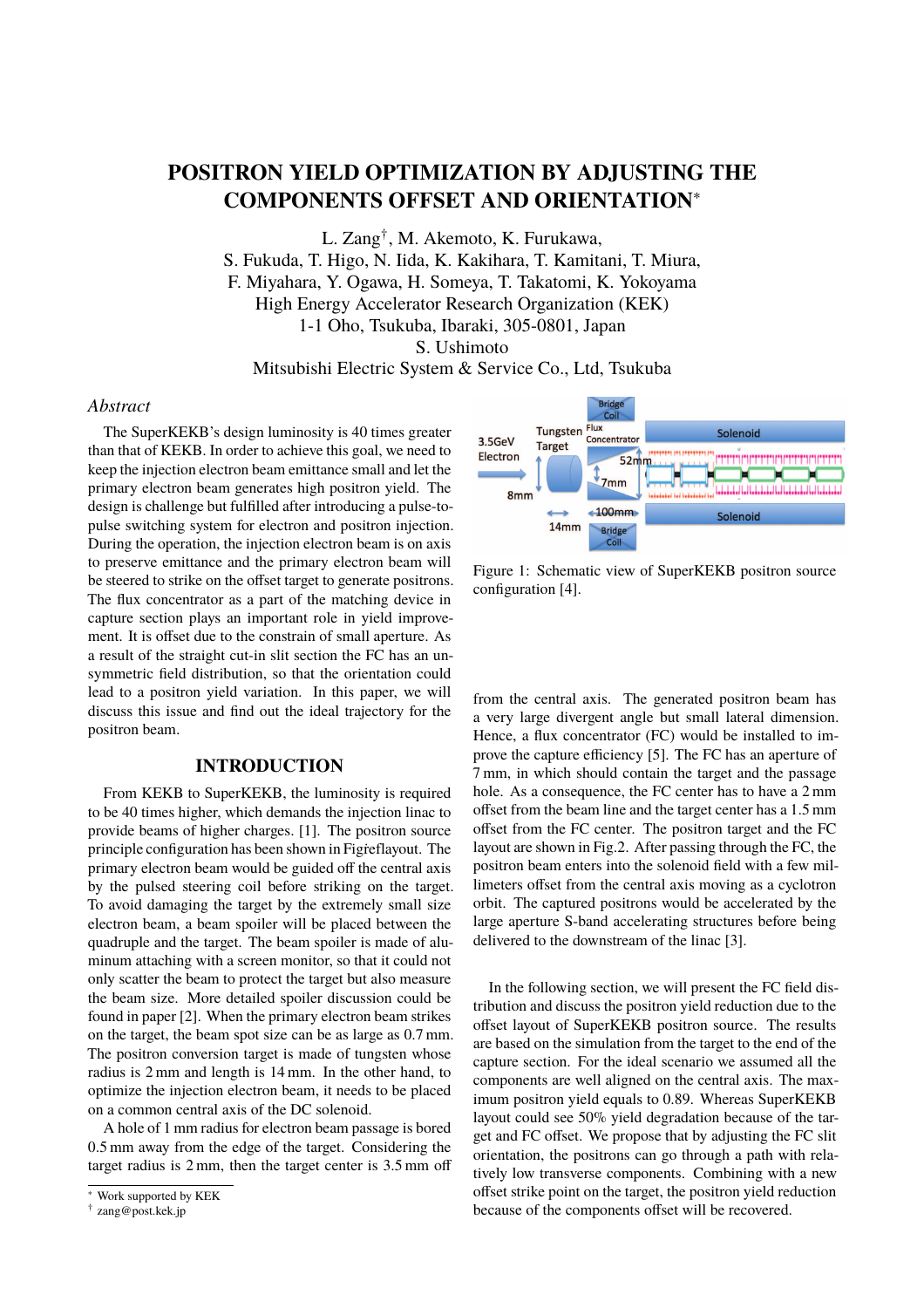# **POSITRON YIELD OPTIMIZATION BY ADJUSTING THE COMPONENTS OFFSET AND ORIENTATION**<sup>∗</sup>

L. Zang† , M. Akemoto, K. Furukawa,

S. Fukuda, T. Higo, N. Iida, K. Kakihara, T. Kamitani, T. Miura,

F. Miyahara, Y. Ogawa, H. Someya, T. Takatomi, K. Yokoyama

High Energy Accelerator Research Organization (KEK)

1-1 Oho, Tsukuba, Ibaraki, 305-0801, Japan

S. Ushimoto

Mitsubishi Electric System & Service Co., Ltd, Tsukuba

# *Abstract*

The SuperKEKB's design luminosity is 40 times greater than that of KEKB. In order to achieve this goal, we need to keep the injection electron beam emittance small and let the primary electron beam generates high positron yield. The design is challenge but fulfilled after introducing a pulse-topulse switching system for electron and positron injection. During the operation, the injection electron beam is on axis to preserve emittance and the primary electron beam will be steered to strike on the offset target to generate positrons. The flux concentrator as a part of the matching device in capture section plays an important role in yield improvement. It is offset due to the constrain of small aperture. As a result of the straight cut-in slit section the FC has an unsymmetric field distribution, so that the orientation could lead to a positron yield variation. In this paper, we will discuss this issue and find out the ideal trajectory for the positron beam.

# **INTRODUCTION**

From KEKB to SuperKEKB, the luminosity is required to be 40 times higher, which demands the injection linac to provide beams of higher charges. [1]. The positron source principle configuration has been shown in Figreflayout. The primary electron beam would be guided off the central axis by the pulsed steering coil before striking on the target. To avoid damaging the target by the extremely small size electron beam, a beam spoiler will be placed between the quadruple and the target. The beam spoiler is made of aluminum attaching with a screen monitor, so that it could not only scatter the beam to protect the target but also measure the beam size. More detailed spoiler discussion could be found in paper [2]. When the primary electron beam strikes on the target, the beam spot size can be as large as 0.7 mm. The positron conversion target is made of tungsten whose radius is 2 mm and length is 14 mm. In the other hand, to optimize the injection electron beam, it needs to be placed on a common central axis of the DC solenoid.

A hole of 1 mm radius for electron beam passage is bored 0.5 mm away from the edge of the target. Considering the target radius is 2 mm, then the target center is 3.5 mm off



Figure 1: Schematic view of SuperKEKB positron source configuration [4].

from the central axis. The generated positron beam has a very large divergent angle but small lateral dimension. Hence, a flux concentrator (FC) would be installed to improve the capture efficiency [5]. The FC has an aperture of 7 mm, in which should contain the target and the passage hole. As a consequence, the FC center has to have a 2 mm offset from the beam line and the target center has a 1.5 mm offset from the FC center. The positron target and the FC layout are shown in Fig.2. After passing through the FC, the positron beam enters into the solenoid field with a few millimeters offset from the central axis moving as a cyclotron orbit. The captured positrons would be accelerated by the large aperture S-band accelerating structures before being delivered to the downstream of the linac [3].

In the following section, we will present the FC field distribution and discuss the positron yield reduction due to the offset layout of SuperKEKB positron source. The results are based on the simulation from the target to the end of the capture section. For the ideal scenario we assumed all the components are well aligned on the central axis. The maximum positron yield equals to 0.89. Whereas SuperKEKB layout could see 50% yield degradation because of the target and FC offset. We propose that by adjusting the FC slit orientation, the positrons can go through a path with relatively low transverse components. Combining with a new offset strike point on the target, the positron yield reduction because of the components offset will be recovered.

<sup>∗</sup> Work supported by KEK

<sup>†</sup> zang@post.kek.jp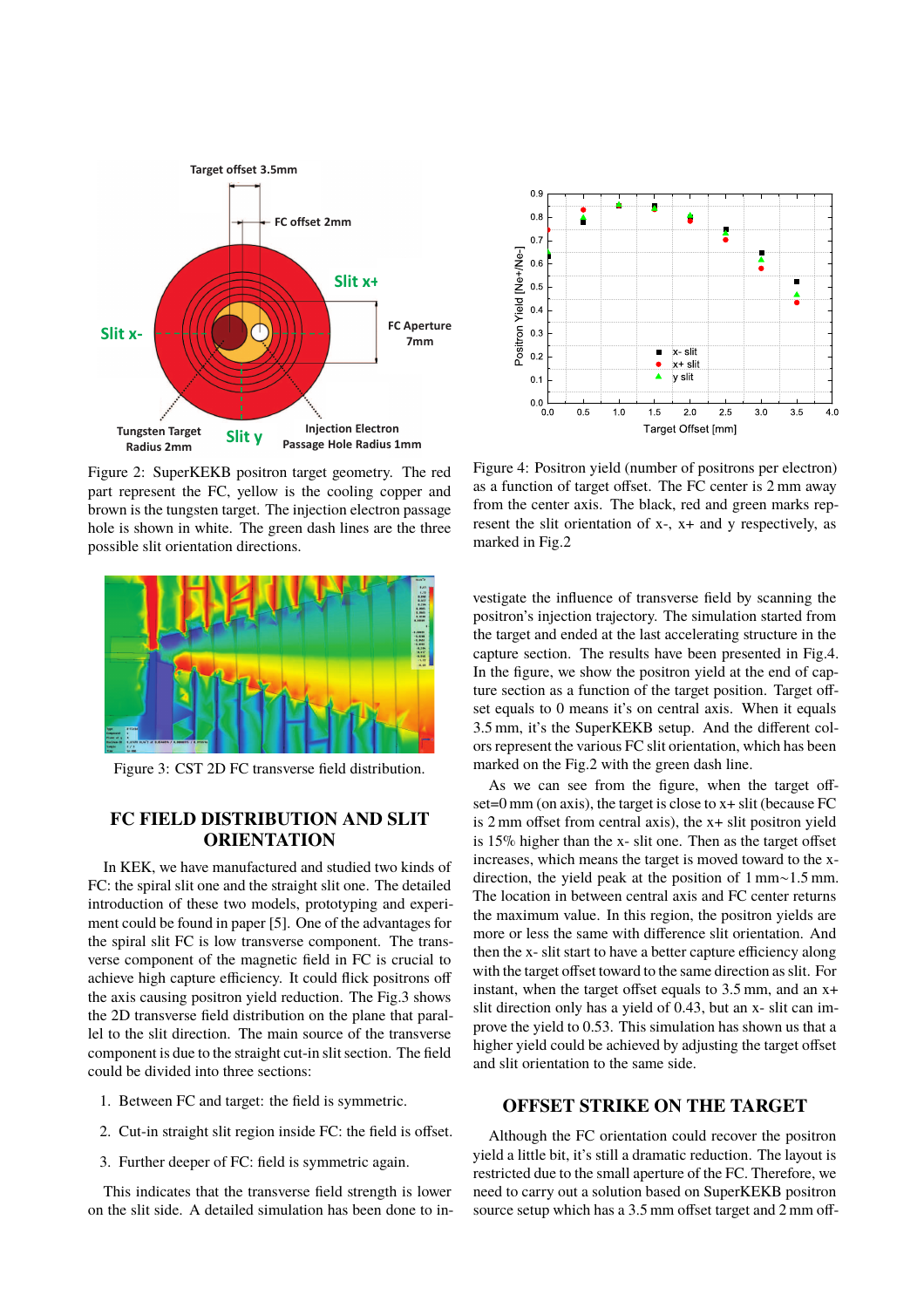

Figure 2: SuperKEKB positron target geometry. The red part represent the FC, yellow is the cooling copper and brown is the tungsten target. The injection electron passage hole is shown in white. The green dash lines are the three possible slit orientation directions.



Figure 3: CST 2D FC transverse field distribution.

# **FC FIELD DISTRIBUTION AND SLIT ORIENTATION**

In KEK, we have manufactured and studied two kinds of FC: the spiral slit one and the straight slit one. The detailed introduction of these two models, prototyping and experiment could be found in paper [5]. One of the advantages for the spiral slit FC is low transverse component. The transverse component of the magnetic field in FC is crucial to achieve high capture efficiency. It could flick positrons off the axis causing positron yield reduction. The Fig.3 shows the 2D transverse field distribution on the plane that parallel to the slit direction. The main source of the transverse component is due to the straight cut-in slit section. The field could be divided into three sections:

- 1. Between FC and target: the field is symmetric.
- 2. Cut-in straight slit region inside FC: the field is offset.
- 3. Further deeper of FC: field is symmetric again.

This indicates that the transverse field strength is lower on the slit side. A detailed simulation has been done to in-



Figure 4: Positron yield (number of positrons per electron) as a function of target offset. The FC center is 2 mm away from the center axis. The black, red and green marks represent the slit orientation of x-, x+ and y respectively, as marked in Fig.2

vestigate the influence of transverse field by scanning the positron's injection trajectory. The simulation started from the target and ended at the last accelerating structure in the capture section. The results have been presented in Fig.4. In the figure, we show the positron yield at the end of capture section as a function of the target position. Target offset equals to 0 means it's on central axis. When it equals 3.5 mm, it's the SuperKEKB setup. And the different colors represent the various FC slit orientation, which has been marked on the Fig.2 with the green dash line.

As we can see from the figure, when the target offset=0 mm (on axis), the target is close to x+ slit (because FC is 2 mm offset from central axis), the x+ slit positron yield is 15% higher than the x- slit one. Then as the target offset increases, which means the target is moved toward to the xdirection, the yield peak at the position of 1 mm∼1.5 mm. The location in between central axis and FC center returns the maximum value. In this region, the positron yields are more or less the same with difference slit orientation. And then the x- slit start to have a better capture efficiency along with the target offset toward to the same direction as slit. For instant, when the target offset equals to 3.5 mm, and an x+ slit direction only has a yield of 0.43, but an x- slit can improve the yield to 0.53. This simulation has shown us that a higher yield could be achieved by adjusting the target offset and slit orientation to the same side.

### **OFFSET STRIKE ON THE TARGET**

Although the FC orientation could recover the positron yield a little bit, it's still a dramatic reduction. The layout is restricted due to the small aperture of the FC. Therefore, we need to carry out a solution based on SuperKEKB positron source setup which has a 3.5 mm offset target and 2 mm off-